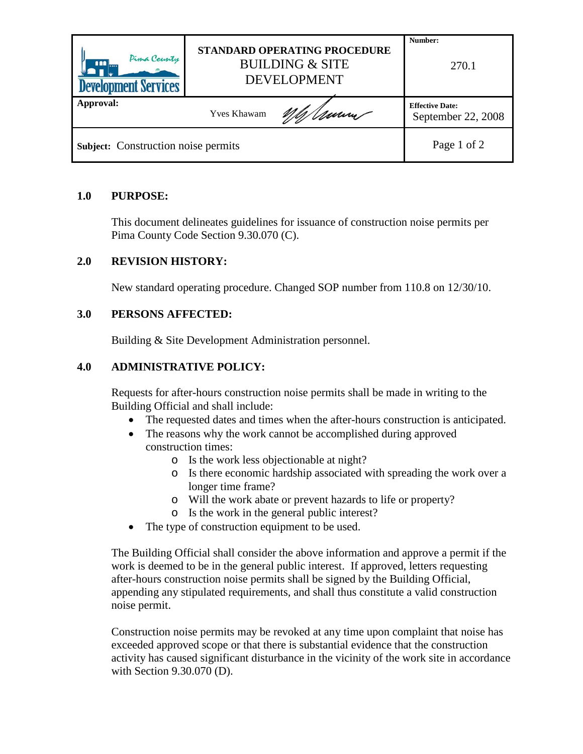| Pima County<br><b>AMI</b><br><b>Development Services</b> | STANDARD OPERATING PROCEDURE<br><b>BUILDING &amp; SITE</b><br><b>DEVELOPMENT</b> |     | Number:<br>270.1                             |
|----------------------------------------------------------|----------------------------------------------------------------------------------|-----|----------------------------------------------|
| Approval:                                                | <b>Yves Khawam</b>                                                               | mum | <b>Effective Date:</b><br>September 22, 2008 |
| Subject: Construction noise permits                      |                                                                                  |     | Page 1 of 2                                  |

#### **1.0 PURPOSE:**

This document delineates guidelines for issuance of construction noise permits per Pima County Code Section 9.30.070 (C).

#### **2.0 REVISION HISTORY:**

New standard operating procedure. Changed SOP number from 110.8 on 12/30/10.

#### **3.0 PERSONS AFFECTED:**

Building & Site Development Administration personnel.

#### **4.0 ADMINISTRATIVE POLICY:**

Requests for after-hours construction noise permits shall be made in writing to the Building Official and shall include:

- The requested dates and times when the after-hours construction is anticipated.
- The reasons why the work cannot be accomplished during approved construction times:
	- o Is the work less objectionable at night?
	- o Is there economic hardship associated with spreading the work over a longer time frame?
	- o Will the work abate or prevent hazards to life or property?
	- o Is the work in the general public interest?
- The type of construction equipment to be used.

The Building Official shall consider the above information and approve a permit if the work is deemed to be in the general public interest. If approved, letters requesting after-hours construction noise permits shall be signed by the Building Official, appending any stipulated requirements, and shall thus constitute a valid construction noise permit.

Construction noise permits may be revoked at any time upon complaint that noise has exceeded approved scope or that there is substantial evidence that the construction activity has caused significant disturbance in the vicinity of the work site in accordance with Section 9.30.070 (D).